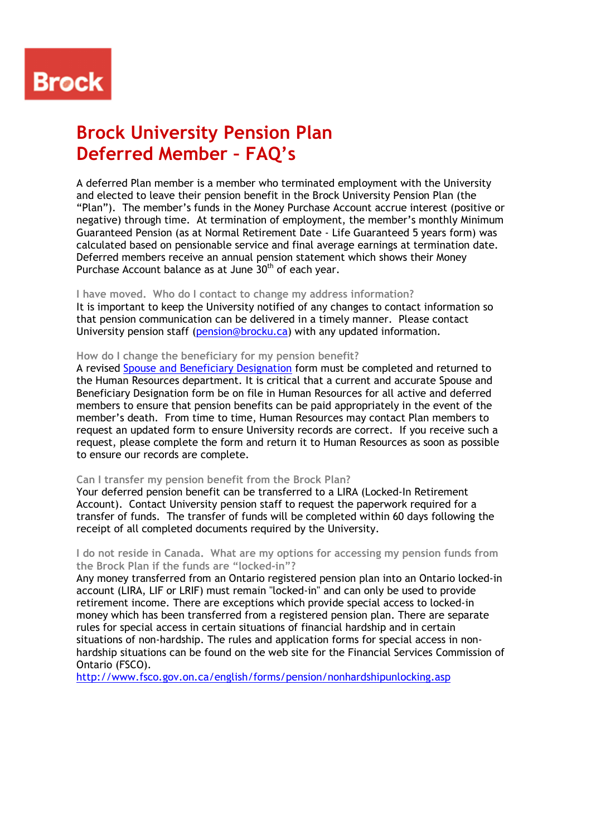# **Brock**

# **Brock University Pension Plan Deferred Member – FAQ's**

A deferred Plan member is a member who terminated employment with the University and elected to leave their pension benefit in the Brock University Pension Plan (the "Plan"). The member's funds in the Money Purchase Account accrue interest (positive or negative) through time. At termination of employment, the member's monthly Minimum Guaranteed Pension (as at Normal Retirement Date - Life Guaranteed 5 years form) was calculated based on pensionable service and final average earnings at termination date. Deferred members receive an annual pension statement which shows their Money Purchase Account balance as at June  $30<sup>th</sup>$  of each year.

## **I have moved. Who do I contact to change my address information?**

It is important to keep the University notified of any changes to contact information so that pension communication can be delivered in a timely manner. Please contact University pension staff (pension@brocku.ca) with any updated information.

### **How do I change the beneficiary for my pension benefit?**

A revised Spouse and Beneficiary Designation form must be completed and returned to the Human Resources department. It is critical that a current and accurate Spouse and Beneficiary Designation form be on file in Human Resources for all active and deferred members to ensure that pension benefits can be paid appropriately in the event of the member's death. From time to time, Human Resources may contact Plan members to request an updated form to ensure University records are correct. If you receive such a request, please complete the form and return it to Human Resources as soon as possible to ensure our records are complete.

#### **Can I transfer my pension benefit from the Brock Plan?**

Your deferred pension benefit can be transferred to a LIRA (Locked-In Retirement Account). Contact University pension staff to request the paperwork required for a transfer of funds. The transfer of funds will be completed within 60 days following the receipt of all completed documents required by the University.

### **I do not reside in Canada. What are my options for accessing my pension funds from the Brock Plan if the funds are "locked-in"?**

Any money transferred from an Ontario registered pension plan into an Ontario locked-in account (LIRA, LIF or LRIF) must remain "locked-in" and can only be used to provide retirement income. There are exceptions which provide special access to locked-in money which has been transferred from a registered pension plan. There are separate rules for special access in certain situations of financial hardship and in certain situations of non-hardship. The rules and application forms for special access in nonhardship situations can be found on the web site for the Financial Services Commission of Ontario (FSCO).

http://www.fsco.gov.on.ca/english/forms/pension/nonhardshipunlocking.asp